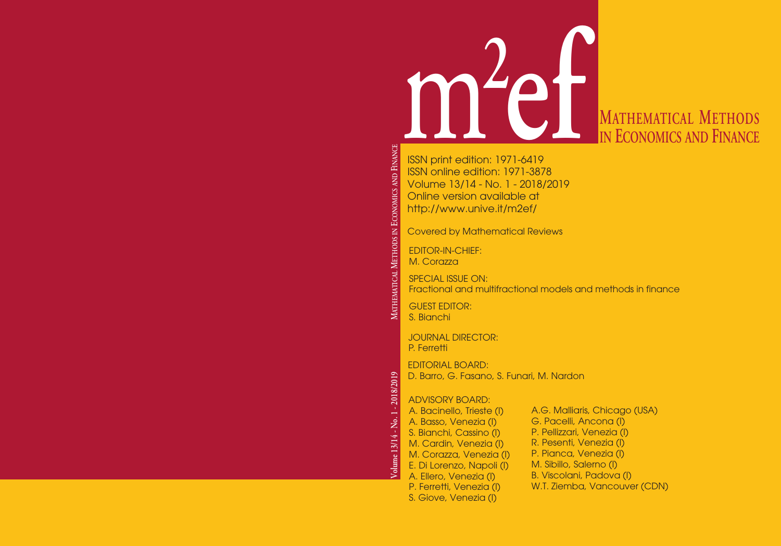

# **ef MATHEMATICAL METHODS IN ECONOMICS AND FINANCE**

ISSN print edition: 1971-6419 ISSN online edition: 1971-3878 Volume 13/14 - No. 1 - 2018/2019 Online version available at http://www.unive.it/m2ef/

Covered by Mathematical Reviews

EDITOR-IN-CHIEF: M. Corazza

SPECIAL ISSUE ON: Fractional and multifractional models and methods in finance

GUEST EDITOR: S. Bianchi

**MAT HEM**

**Volume 13/14 - No. 1 - 2018/2019**

Volume 13/14 - No. 1 - 2018/2019

**ATICAL MET**

**H O DS IN**

**ECONOMICS** AND

JOURNAL DIRECTOR: P. Ferretti

EDITORIAL BOARD: D. Barro, G. Fasano, S. Funari, M. Nardon

### ADVISORY BOARD:

A. Bacinello, Trieste (I) A. Basso, Venezia (I) S. Bianchi, Cassino (I) M. Cardin, Venezia (I) M. Corazza, Venezia (I) E. Di Lorenzo, Napoli (I) A. Ellero, Venezia (I) P. Ferretti, Venezia (I) S. Giove, Venezia (I)

A.G. Malliaris, Chicago (USA) G. Pacelli, Ancona (I) P. Pellizzari, Venezia (I) R. Pesenti, Venezia (I) P. Pianca, Venezia (I) M. Sibillo, Salerno (I) B. Viscolani, Padova (I) W.T. Ziemba, Vancouver (CDN)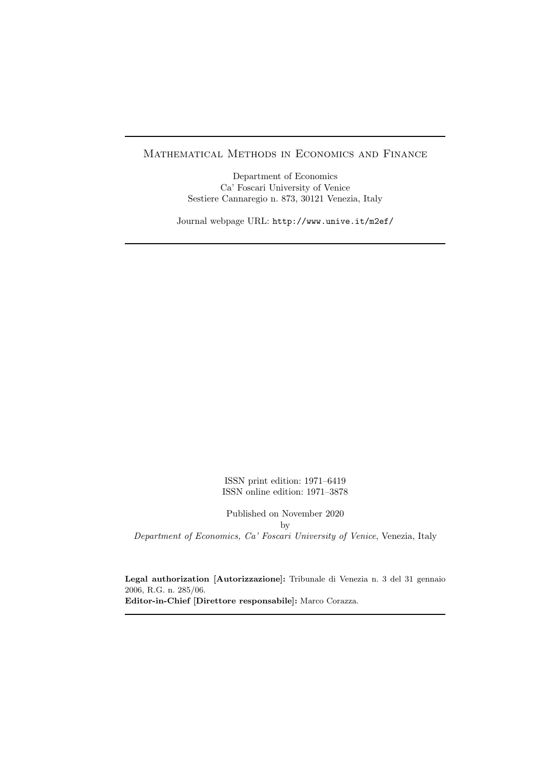#### Mathematical Methods in Economics and Finance

Department of Economics Ca' Foscari University of Venice Sestiere Cannaregio n. 873, 30121 Venezia, Italy

Journal webpage URL: http://www.unive.it/m2ef/

ISSN print edition: 1971–6419 ISSN online edition: 1971–3878

Published on November 2020 by Department of Economics, Ca' Foscari University of Venice, Venezia, Italy

Legal authorization [Autorizzazione]: Tribunale di Venezia n. 3 del 31 gennaio 2006, R.G. n. 285/06. Editor-in-Chief [Direttore responsabile]: Marco Corazza.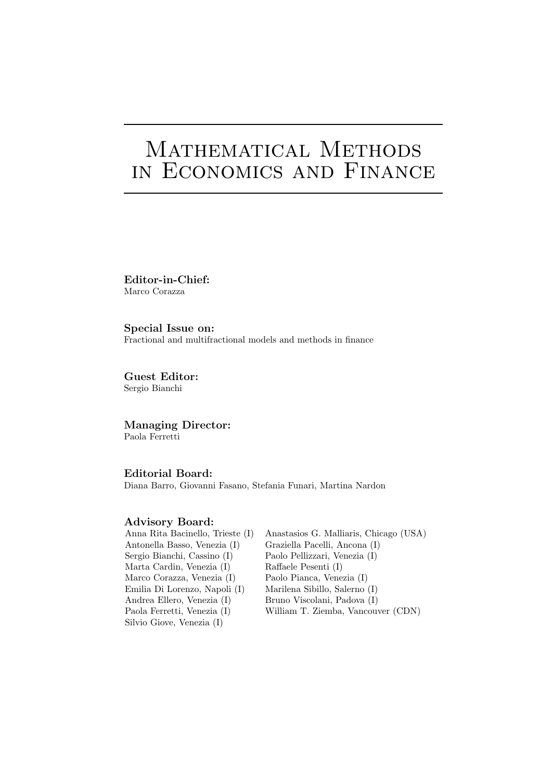# MATHEMATICAL METHODS in Economics and Finance

Editor-in-Chief: Marco Corazza

Special Issue on: Fractional and multifractional models and methods in finance

Guest Editor: Sergio Bianchi

Managing Director: Paola Ferretti

Editorial Board: Diana Barro, Giovanni Fasano, Stefania Funari, Martina Nardon

#### Advisory Board:

| Anna Rita Bacinello, Trieste (I) | Anastasios G. Malliaris, Chicago (USA) |
|----------------------------------|----------------------------------------|
| Antonella Basso, Venezia (I)     | Graziella Pacelli, Ancona (I)          |
| Sergio Bianchi, Cassino (I)      | Paolo Pellizzari, Venezia (I)          |
| Marta Cardin, Venezia (I)        | Raffaele Pesenti (I)                   |
| Marco Corazza, Venezia (I)       | Paolo Pianca, Venezia (I)              |
| Emilia Di Lorenzo, Napoli (I)    | Marilena Sibillo, Salerno (I)          |
| Andrea Ellero, Venezia (I)       | Bruno Viscolani, Padova (I)            |
| Paola Ferretti, Venezia (I)      | William T. Ziemba, Vancouver (CDN)     |
| Silvio Giove, Venezia (I)        |                                        |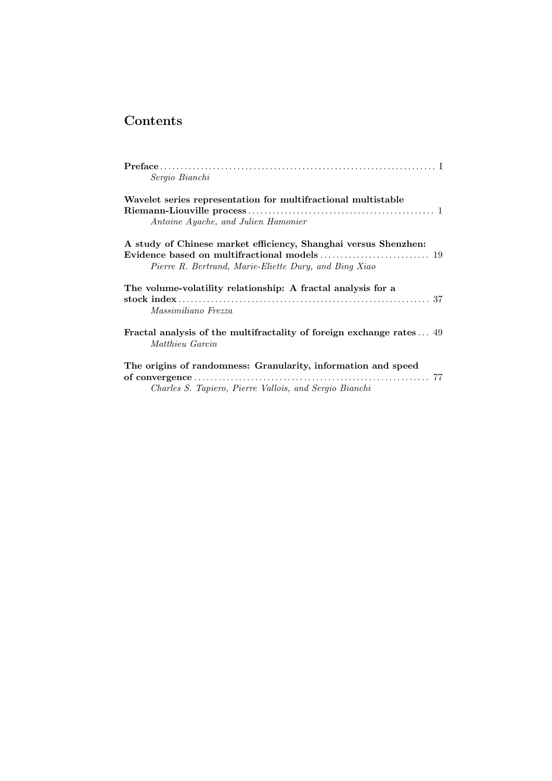## Contents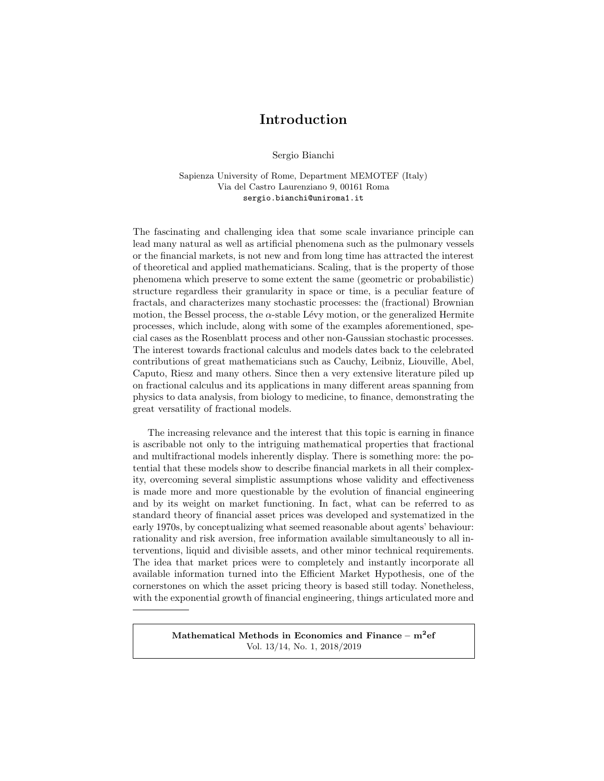### Introduction

Sergio Bianchi

Sapienza University of Rome, Department MEMOTEF (Italy) Via del Castro Laurenziano 9, 00161 Roma sergio.bianchi@uniroma1.it

The fascinating and challenging idea that some scale invariance principle can lead many natural as well as artificial phenomena such as the pulmonary vessels or the financial markets, is not new and from long time has attracted the interest of theoretical and applied mathematicians. Scaling, that is the property of those phenomena which preserve to some extent the same (geometric or probabilistic) structure regardless their granularity in space or time, is a peculiar feature of fractals, and characterizes many stochastic processes: the (fractional) Brownian motion, the Bessel process, the  $\alpha$ -stable Lévy motion, or the generalized Hermite processes, which include, along with some of the examples aforementioned, special cases as the Rosenblatt process and other non-Gaussian stochastic processes. The interest towards fractional calculus and models dates back to the celebrated contributions of great mathematicians such as Cauchy, Leibniz, Liouville, Abel, Caputo, Riesz and many others. Since then a very extensive literature piled up on fractional calculus and its applications in many different areas spanning from physics to data analysis, from biology to medicine, to finance, demonstrating the great versatility of fractional models.

The increasing relevance and the interest that this topic is earning in finance is ascribable not only to the intriguing mathematical properties that fractional and multifractional models inherently display. There is something more: the potential that these models show to describe financial markets in all their complexity, overcoming several simplistic assumptions whose validity and effectiveness is made more and more questionable by the evolution of financial engineering and by its weight on market functioning. In fact, what can be referred to as standard theory of financial asset prices was developed and systematized in the early 1970s, by conceptualizing what seemed reasonable about agents' behaviour: rationality and risk aversion, free information available simultaneously to all interventions, liquid and divisible assets, and other minor technical requirements. The idea that market prices were to completely and instantly incorporate all available information turned into the Efficient Market Hypothesis, one of the cornerstones on which the asset pricing theory is based still today. Nonetheless, with the exponential growth of financial engineering, things articulated more and

> Mathematical Methods in Economics and Finance –  $\mathrm{m}^2$ ef Vol. 13/14, No. 1, 2018/2019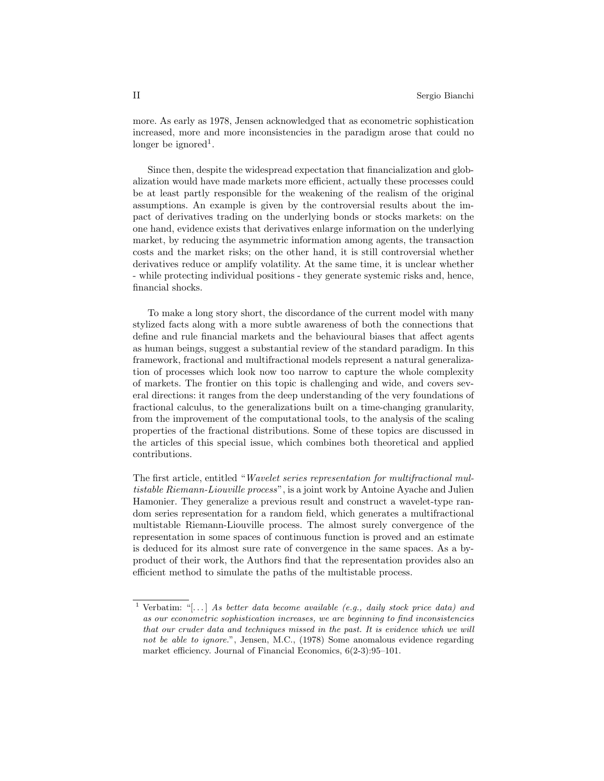more. As early as 1978, Jensen acknowledged that as econometric sophistication increased, more and more inconsistencies in the paradigm arose that could no longer be ignored<sup>1</sup>.

Since then, despite the widespread expectation that financialization and globalization would have made markets more efficient, actually these processes could be at least partly responsible for the weakening of the realism of the original assumptions. An example is given by the controversial results about the impact of derivatives trading on the underlying bonds or stocks markets: on the one hand, evidence exists that derivatives enlarge information on the underlying market, by reducing the asymmetric information among agents, the transaction costs and the market risks; on the other hand, it is still controversial whether derivatives reduce or amplify volatility. At the same time, it is unclear whether - while protecting individual positions - they generate systemic risks and, hence, financial shocks.

To make a long story short, the discordance of the current model with many stylized facts along with a more subtle awareness of both the connections that define and rule financial markets and the behavioural biases that affect agents as human beings, suggest a substantial review of the standard paradigm. In this framework, fractional and multifractional models represent a natural generalization of processes which look now too narrow to capture the whole complexity of markets. The frontier on this topic is challenging and wide, and covers several directions: it ranges from the deep understanding of the very foundations of fractional calculus, to the generalizations built on a time-changing granularity, from the improvement of the computational tools, to the analysis of the scaling properties of the fractional distributions. Some of these topics are discussed in the articles of this special issue, which combines both theoretical and applied contributions.

The first article, entitled "Wavelet series representation for multifractional multistable Riemann-Liouville process", is a joint work by Antoine Ayache and Julien Hamonier. They generalize a previous result and construct a wavelet-type random series representation for a random field, which generates a multifractional multistable Riemann-Liouville process. The almost surely convergence of the representation in some spaces of continuous function is proved and an estimate is deduced for its almost sure rate of convergence in the same spaces. As a byproduct of their work, the Authors find that the representation provides also an efficient method to simulate the paths of the multistable process.

<sup>&</sup>lt;sup>1</sup> Verbatim: "[...] As better data become available (e.g., daily stock price data) and as our econometric sophistication increases, we are beginning to find inconsistencies that our cruder data and techniques missed in the past. It is evidence which we will not be able to ignore.", Jensen, M.C., (1978) Some anomalous evidence regarding market efficiency. Journal of Financial Economics, 6(2-3):95–101.